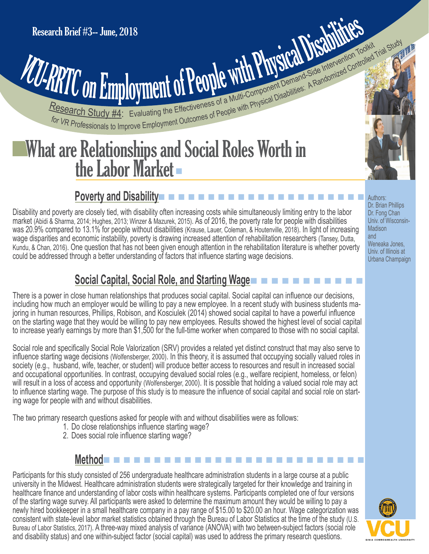# **PATTO On Employment of People With Physical Disabilities: A Randomized Controlled Trial Study of Article Study 44: Evaluating the Effectiveness of a Multi-Component Demand Side Intervention Toglicity Trial Study 1998** Research Brief #3-- June, 2018<br>
VCU-RRTC ON Employment of People with Physical Disabilities: A Randomized Control

## What are Relationships and Social Roles Worth in What are Relationships and Social Roles Worth in<br>the Labor Market

## n n n n n n n n n n n n n n n n n n n n n n **Poverty and Disability**

Disability and poverty are closely tied, with disability often increasing costs while simultaneously limiting entry to the labor market (Abidi & Sharma, 2014; Hughes, 2013; Winzer & Mazurek, 2015). As of 2016, the poverty rate for people with disabilities was 20.9% compared to 13.1% for people without disabilities (Krause, Lauer, Coleman, & Houtenville, 2018). In light of increasing wage disparities and economic instability, poverty is drawing increased attention of rehabilitation researchers (Tansey, Dutta, Kundu, & Chan, 2016). One question that has not been given enough attention in the rehabilitation literature is whether poverty could be addressed through a better understanding of factors that influence starting wage decisions.

Authors: Dr. Brian Phillips Dr. Fong Chan Univ. of Wisconsin-**Madison** and Weneaka Jones, Univ. of Illinois at Urbana Champaign

## n n n n n n n n n n n  **Social Capital, Social Role, and Starting Wage**

There is a power in close human relationships that produces social capital. Social capital can influence our decisions, including how much an employer would be willing to pay a new employee. In a recent study with business students ma joring in human resources, Phillips, Robison, and Kosciulek (2014) showed social capital to have a powerful influence on the starting wage that they would be willing to pay new employees. Results showed the highest level of social capital to increase yearly earnings by more than \$1,500 for the full-time worker when compared to those with no social capital.

Social role and specifically Social Role Valorization (SRV) provides a related yet distinct construct that may also serve to influence starting wage decisions (Wolfensberger, 2000). In this theory, it is assumed that occupying socially valued roles in society (e.g., husband, wife, teacher, or student) will produce better access to resources and result in increased social and occupational opportunities. In contrast, occupying devalued social roles (e.g., welfare recipient, homeless, or felon) will result in a loss of access and opportunity (Wolfensberger, 2000). It is possible that holding a valued social role may act to influence starting wage. The purpose of this study is to measure the influence of social capital and social role on start ing wage for people with and without disabilities.

The two primary research questions asked for people with and without disabilities were as follows:

- 1. Do close relationships influence starting wage?
- 2. Does social role influence starting wage?

#### n n n n n n n n n n n n n n n n n n n n n n n n n n  **Method**

Participants for this study consisted of 256 undergraduate healthcare administration students in a large course at a public university in the Midwest. Healthcare administration students were strategically targeted for their knowledge and training in healthcare finance and understanding of labor costs within healthcare systems. Participants completed one of four versions of the starting wage survey. All participants were asked to determine the maximum amount they would be willing to pay a newly hired bookkeeper in a small healthcare company in a pay range of \$15.00 to \$20.00 an hour. Wage categorization was consistent with state-level labor market statistics obtained through the Bureau of Labor Statistics at the time of the study (U.S. Bureau of Labor Statistics, 2017). A three-way mixed analysis of variance (ANOVA) with two between-subject factors (social role and disability status) and one within-subject factor (social capital) was used to address the primary research questions.